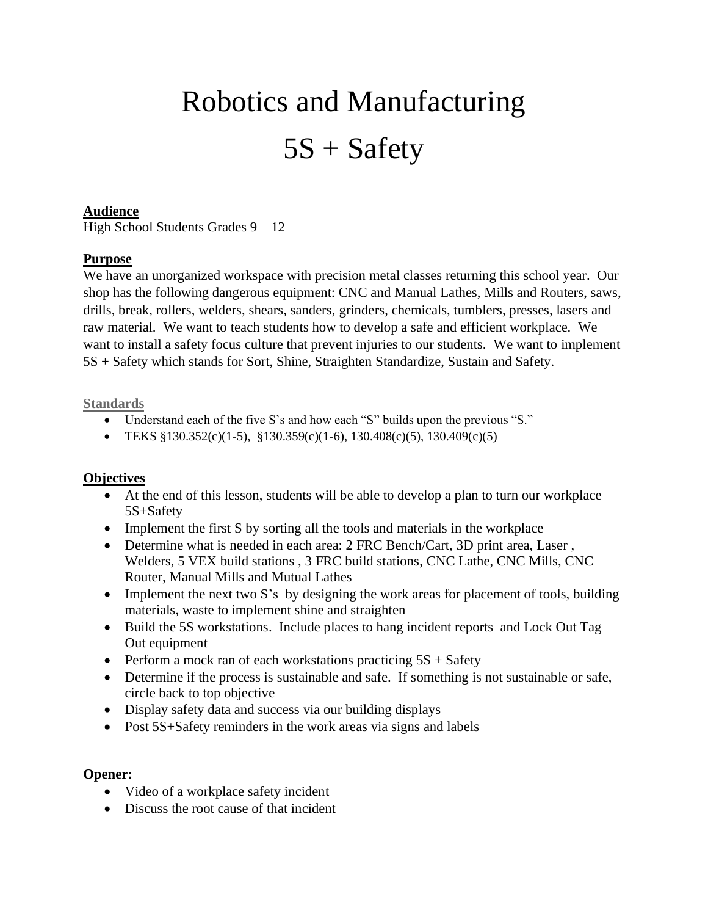# Robotics and Manufacturing 5S + Safety

### **Audience**

High School Students Grades 9 – 12

## **Purpose**

We have an unorganized workspace with precision metal classes returning this school year. Our shop has the following dangerous equipment: CNC and Manual Lathes, Mills and Routers, saws, drills, break, rollers, welders, shears, sanders, grinders, chemicals, tumblers, presses, lasers and raw material. We want to teach students how to develop a safe and efficient workplace. We want to install a safety focus culture that prevent injuries to our students. We want to implement 5S + Safety which stands for Sort, Shine, Straighten Standardize, Sustain and Safety.

#### **Standards**

- Understand each of the five S's and how each "S" builds upon the previous "S."
- TEKS  $\S 130.352(c)(1-5)$ ,  $\S 130.359(c)(1-6)$ ,  $130.408(c)(5)$ ,  $130.409(c)(5)$

#### **Objectives**

- At the end of this lesson, students will be able to develop a plan to turn our workplace 5S+Safety
- Implement the first S by sorting all the tools and materials in the workplace
- Determine what is needed in each area: 2 FRC Bench/Cart, 3D print area, Laser, Welders, 5 VEX build stations , 3 FRC build stations, CNC Lathe, CNC Mills, CNC Router, Manual Mills and Mutual Lathes
- Implement the next two S's by designing the work areas for placement of tools, building materials, waste to implement shine and straighten
- Build the 5S workstations. Include places to hang incident reports and Lock Out Tag Out equipment
- Perform a mock ran of each workstations practicing  $5S + S$ afety
- Determine if the process is sustainable and safe. If something is not sustainable or safe, circle back to top objective
- Display safety data and success via our building displays
- Post 5S+Safety reminders in the work areas via signs and labels

#### **Opener:**

- Video of a workplace safety incident
- Discuss the root cause of that incident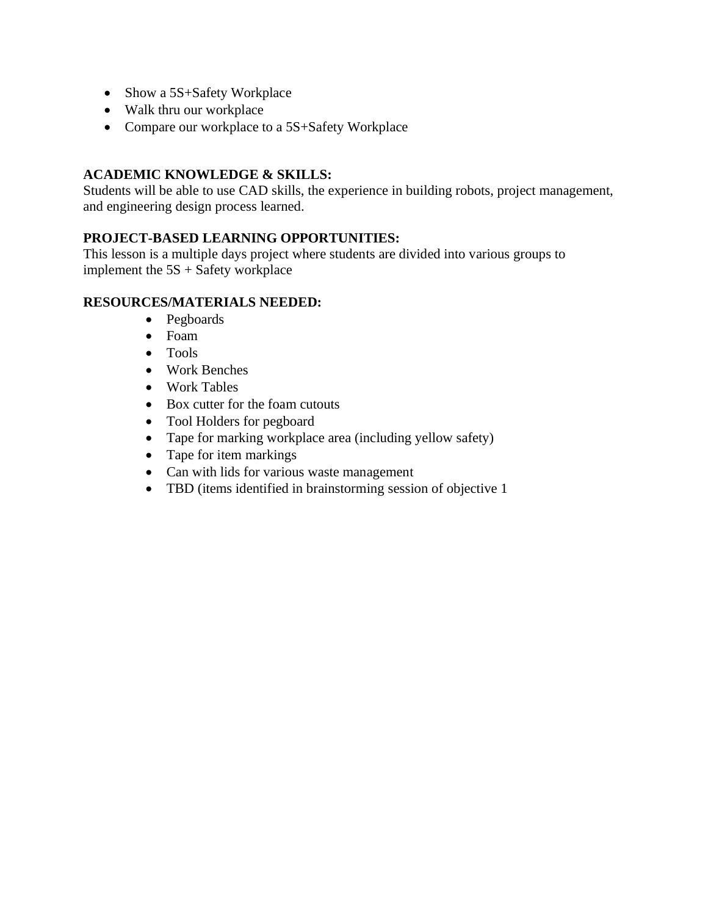- Show a 5S+Safety Workplace
- Walk thru our workplace
- Compare our workplace to a 5S+Safety Workplace

## **ACADEMIC KNOWLEDGE & SKILLS:**

Students will be able to use CAD skills, the experience in building robots, project management, and engineering design process learned.

## **PROJECT-BASED LEARNING OPPORTUNITIES:**

This lesson is a multiple days project where students are divided into various groups to implement the  $5S +$  Safety workplace

## **RESOURCES/MATERIALS NEEDED:**

- Pegboards
- Foam
- Tools
- Work Benches
- Work Tables
- Box cutter for the foam cutouts
- Tool Holders for pegboard
- Tape for marking workplace area (including yellow safety)
- Tape for item markings
- Can with lids for various waste management
- TBD (items identified in brainstorming session of objective 1